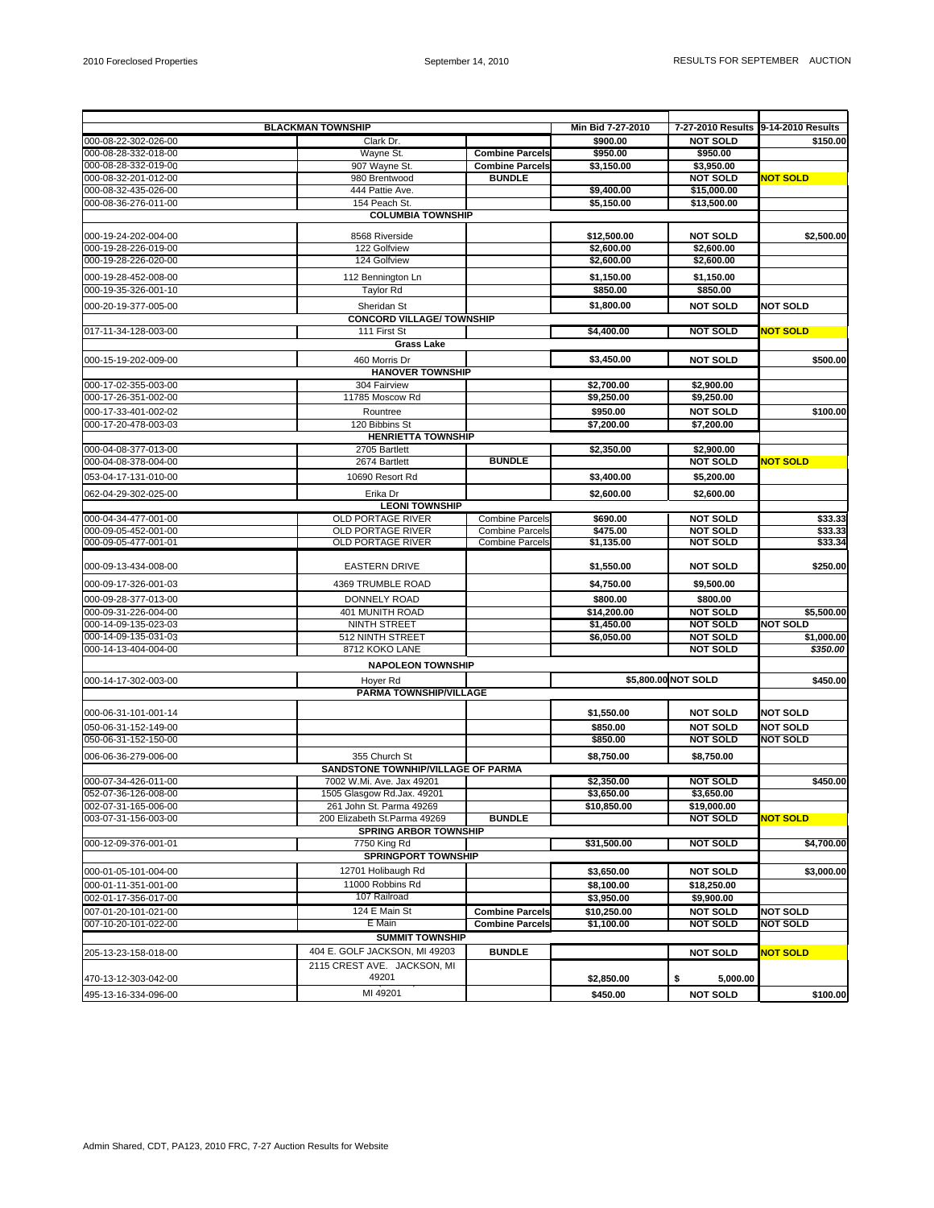|                                                                                           | <b>BLACKMAN TOWNSHIP</b>           |                        | Min Bid 7-27-2010   | 7-27-2010 Results 9-14-2010 Results |                                    |
|-------------------------------------------------------------------------------------------|------------------------------------|------------------------|---------------------|-------------------------------------|------------------------------------|
| 000-08-22-302-026-00                                                                      | Clark Dr.                          |                        | \$900.00            | <b>NOT SOLD</b>                     | \$150.00                           |
| 000-08-28-332-018-00                                                                      | Wayne St.                          | <b>Combine Parcels</b> | \$950.00            | \$950.00                            |                                    |
| 000-08-28-332-019-00                                                                      | 907 Wayne St.                      | <b>Combine Parcels</b> | \$3,150.00          | \$3.950.00                          |                                    |
| 000-08-32-201-012-00                                                                      | 980 Brentwood                      | <b>BUNDLE</b>          |                     | <b>NOT SOLD</b>                     | <b>NOT SOLD</b>                    |
| 000-08-32-435-026-00                                                                      | 444 Pattie Ave.                    |                        | \$9,400.00          | \$15,000.00                         |                                    |
| 000-08-36-276-011-00                                                                      | 154 Peach St.                      |                        | \$5,150.00          | \$13,500.00                         |                                    |
|                                                                                           | <b>COLUMBIA TOWNSHIP</b>           |                        |                     |                                     |                                    |
| 000-19-24-202-004-00                                                                      | 8568 Riverside                     |                        | \$12,500.00         | <b>NOT SOLD</b>                     | \$2,500.00                         |
| 000-19-28-226-019-00                                                                      | 122 Golfview                       |                        | \$2,600.00          | \$2,600.00                          |                                    |
| 000-19-28-226-020-00                                                                      | 124 Golfview                       |                        | \$2,600.00          | \$2,600.00                          |                                    |
|                                                                                           |                                    |                        |                     |                                     |                                    |
| 000-19-28-452-008-00                                                                      | 112 Bennington Ln                  |                        | \$1,150.00          | \$1,150.00                          |                                    |
| 000-19-35-326-001-10                                                                      | <b>Taylor Rd</b>                   |                        | \$850.00            | \$850.00                            |                                    |
| 000-20-19-377-005-00                                                                      | Sheridan St                        |                        | \$1.800.00          | <b>NOT SOLD</b>                     | <b>NOT SOLD</b>                    |
|                                                                                           | <b>CONCORD VILLAGE/ TOWNSHIP</b>   |                        |                     |                                     |                                    |
| 017-11-34-128-003-00                                                                      | 111 First St                       |                        | \$4,400.00          | <b>NOT SOLD</b>                     | <b>NOT SOLD</b>                    |
|                                                                                           | <b>Grass Lake</b>                  |                        |                     |                                     |                                    |
| 000-15-19-202-009-00                                                                      | 460 Morris Dr                      |                        | \$3,450.00          | <b>NOT SOLD</b>                     | \$500.00                           |
|                                                                                           | <b>HANOVER TOWNSHIP</b>            |                        |                     |                                     |                                    |
| 000-17-02-355-003-00                                                                      | 304 Fairview                       |                        | \$2,700.00          | \$2,900.00                          |                                    |
| 000-17-26-351-002-00                                                                      | 11785 Moscow Rd                    |                        | \$9,250.00          | \$9,250.00                          |                                    |
| 000-17-33-401-002-02                                                                      | Rountree                           |                        | \$950.00            | <b>NOT SOLD</b>                     | \$100.00                           |
| 000-17-20-478-003-03                                                                      | 120 Bibbins St                     |                        | \$7,200.00          | \$7,200.00                          |                                    |
|                                                                                           | <b>HENRIETTA TOWNSHIP</b>          |                        |                     |                                     |                                    |
| 000-04-08-377-013-00                                                                      | 2705 Bartlett                      |                        | \$2,350.00          | \$2,900.00                          |                                    |
| 000-04-08-378-004-00                                                                      | 2674 Bartlett                      | <b>BUNDLE</b>          |                     | <b>NOT SOLD</b>                     | NOT SOLD                           |
|                                                                                           |                                    |                        |                     |                                     |                                    |
| 053-04-17-131-010-00                                                                      | 10690 Resort Rd                    |                        | \$3,400.00          | \$5,200.00                          |                                    |
| 062-04-29-302-025-00                                                                      | Erika Dr                           |                        | \$2,600.00          | \$2,600.00                          |                                    |
|                                                                                           | <b>LEONI TOWNSHIP</b>              |                        |                     |                                     |                                    |
| 000-04-34-477-001-00                                                                      | <b>OLD PORTAGE RIVER</b>           | <b>Combine Parcels</b> | \$690.00            | <b>NOT SOLD</b>                     | \$33.33                            |
| 000-09-05-452-001-00                                                                      | <b>OLD PORTAGE RIVER</b>           | <b>Combine Parcels</b> | \$475.00            | <b>NOT SOLD</b>                     | \$33.33                            |
| 000-09-05-477-001-01                                                                      | OLD PORTAGE RIVER                  | <b>Combine Parcels</b> | \$1,135.00          | <b>NOT SOLD</b>                     | \$33.34                            |
|                                                                                           |                                    |                        |                     |                                     |                                    |
| 000-09-13-434-008-00                                                                      | <b>EASTERN DRIVE</b>               |                        | \$1,550.00          | <b>NOT SOLD</b>                     | \$250.00                           |
| 000-09-17-326-001-03                                                                      | 4369 TRUMBLE ROAD                  |                        | \$4,750.00          | \$9,500.00                          |                                    |
| 000-09-28-377-013-00                                                                      | <b>DONNELY ROAD</b>                |                        | \$800.00            | \$800.00                            |                                    |
| 000-09-31-226-004-00                                                                      | 401 MUNITH ROAD                    |                        | \$14,200.00         | <b>NOT SOLD</b>                     | \$5,500.00                         |
| 000-14-09-135-023-03                                                                      | <b>NINTH STREET</b>                |                        | \$1,450.00          | <b>NOT SOLD</b>                     | <b>NOT SOLD</b>                    |
| 000-14-09-135-031-03                                                                      | 512 NINTH STREET                   |                        | \$6,050.00          | <b>NOT SOLD</b>                     | \$1,000.00                         |
| 000-14-13-404-004-00                                                                      | 8712 KOKO LANE                     |                        |                     | <b>NOT SOLD</b>                     | \$350.00                           |
|                                                                                           | <b>NAPOLEON TOWNSHIP</b>           |                        |                     |                                     |                                    |
|                                                                                           |                                    |                        |                     |                                     |                                    |
| 000-14-17-302-003-00                                                                      | Hoyer Rd                           |                        | \$5,800.00 NOT SOLD | \$450.00                            |                                    |
|                                                                                           | PARMA TOWNSHIP/VILLAGE             |                        |                     |                                     |                                    |
| 000-06-31-101-001-14                                                                      |                                    |                        | \$1,550.00          | <b>NOT SOLD</b>                     | <b>NOT SOLD</b>                    |
|                                                                                           |                                    |                        |                     | <b>NOT SOLD</b>                     |                                    |
| 050-06-31-152-149-00                                                                      |                                    |                        | \$850.00            |                                     | <b>NOT SOLD</b><br><b>NOT SOLD</b> |
| 050-06-31-152-150-00                                                                      |                                    |                        | \$850.00            | <b>NOT SOLD</b>                     |                                    |
| 006-06-36-279-006-00                                                                      | 355 Church St                      |                        | \$8,750.00          | \$8,750.00                          |                                    |
|                                                                                           | SANDSTONE TOWNHIP/VILLAGE OF PARMA |                        |                     |                                     |                                    |
| 000-07-34-426-011-00                                                                      | 7002 W.Mi. Ave. Jax 49201          |                        | \$2,350.00          | <b>NOT SOLD</b>                     | \$450.00                           |
| 052-07-36-126-008-00                                                                      | 1505 Glasgow Rd.Jax. 49201         |                        | \$3,650.00          | \$3,650.00                          |                                    |
| 002-07-31-165-006-00                                                                      | 261 John St. Parma 49269           |                        | \$10,850.00         | \$19,000.00                         |                                    |
| 003-07-31-156-003-00                                                                      | 200 Elizabeth St.Parma 49269       | <b>BUNDLE</b>          |                     | <b>NOT SOLD</b>                     | <b>NOT SOLD</b>                    |
|                                                                                           | <b>SPRING ARBOR TOWNSHIP</b>       |                        |                     |                                     |                                    |
| 000-12-09-376-001-01                                                                      | 7750 King Rd                       |                        | \$31,500.00         | <b>NOT SOLD</b>                     | \$4,700.00                         |
|                                                                                           | <b>SPRINGPORT TOWNSHIP</b>         |                        |                     |                                     |                                    |
| 000-01-05-101-004-00                                                                      | 12701 Holibaugh Rd                 |                        | \$3,650.00          | <b>NOT SOLD</b>                     | \$3,000.00                         |
| 000-01-11-351-001-00                                                                      | 11000 Robbins Rd                   |                        | \$8,100.00          | \$18,250.00                         |                                    |
| 002-01-17-356-017-00                                                                      | 107 Railroad                       |                        | \$3,950.00          | \$9,900.00                          |                                    |
| 007-01-20-101-021-00                                                                      | 124 E Main St                      | <b>Combine Parcels</b> | \$10,250.00         | <b>NOT SOLD</b>                     | <b>NOT SOLD</b>                    |
| 007-10-20-101-022-00                                                                      | E Main                             | <b>Combine Parcels</b> | \$1,100.00          | <b>NOT SOLD</b>                     | <b>NOT SOLD</b>                    |
| <b>SUMMIT TOWNSHIP</b>                                                                    |                                    |                        |                     |                                     |                                    |
| 404 E. GOLF JACKSON, MI 49203<br><b>BUNDLE</b><br><b>NOT SOLD</b><br>205-13-23-158-018-00 |                                    |                        |                     |                                     |                                    |
|                                                                                           | 2115 CREST AVE. JACKSON, MI        |                        |                     |                                     | <b>NOT SOLD</b>                    |
| 470-13-12-303-042-00                                                                      | 49201                              |                        | \$2,850.00          | 5,000.00<br>\$                      |                                    |
|                                                                                           |                                    |                        |                     |                                     |                                    |
| 495-13-16-334-096-00                                                                      | MI 49201                           |                        | \$450.00            | <b>NOT SOLD</b>                     | \$100.00                           |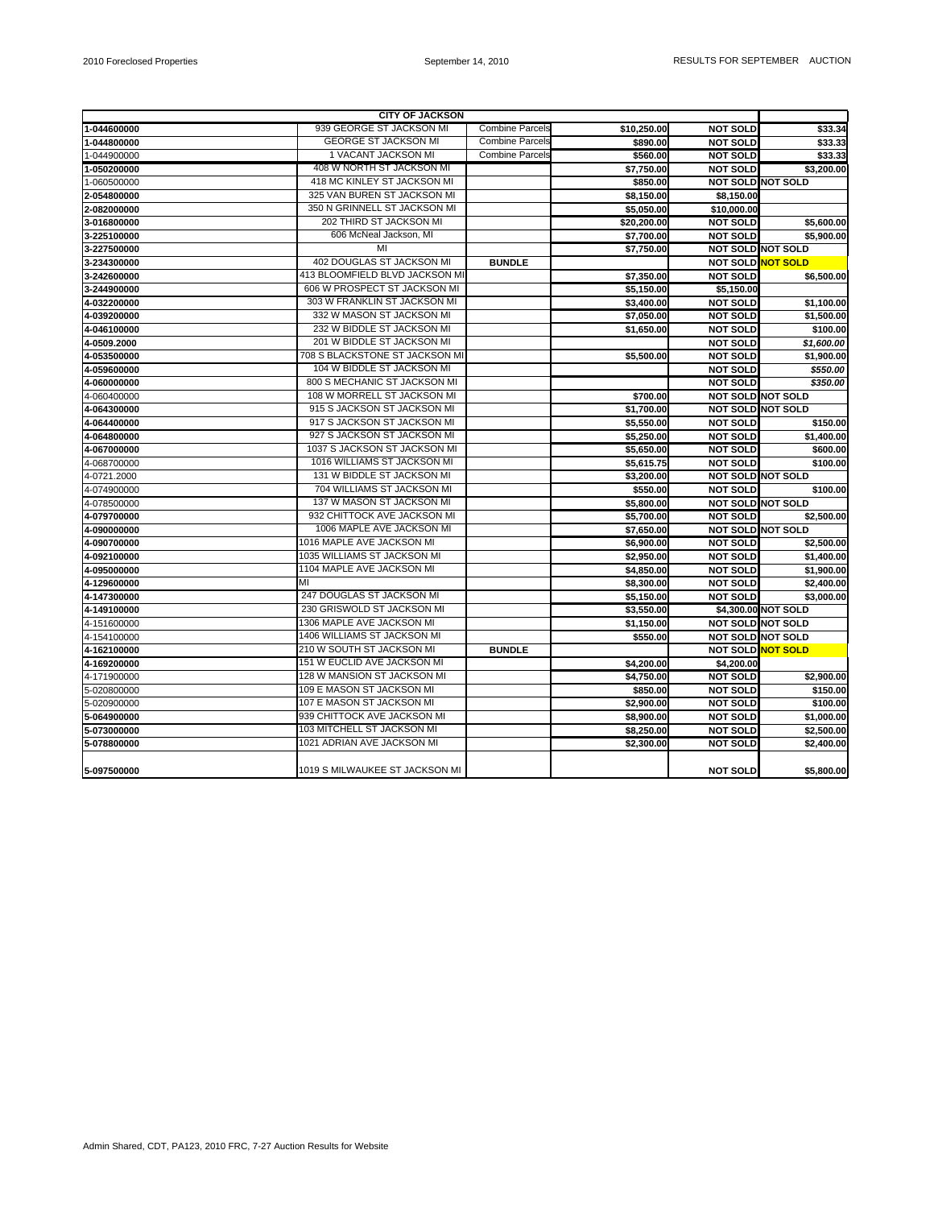| <b>CITY OF JACKSON</b> |                                |                        |             |                          |                     |
|------------------------|--------------------------------|------------------------|-------------|--------------------------|---------------------|
| 1-044600000            | 939 GEORGE ST JACKSON MI       | <b>Combine Parcels</b> | \$10,250.00 | <b>NOT SOLD</b>          | \$33.34             |
| 1-044800000            | <b>GEORGE ST JACKSON MI</b>    | Combine Parcels        | \$890.00    | <b>NOT SOLD</b>          | \$33.33             |
| 1-044900000            | 1 VACANT JACKSON MI            | Combine Parcel         | \$560.00    | <b>NOT SOLD</b>          | \$33.33             |
| 1-050200000            | 408 W NORTH ST JACKSON MI      |                        | \$7,750.00  | <b>NOT SOLD</b>          | \$3,200.00          |
| 1-060500000            | 418 MC KINLEY ST JACKSON MI    |                        | \$850.00    | NOT SOLD NOT SOLD        |                     |
| 2-054800000            | 325 VAN BUREN ST JACKSON MI    |                        | \$8,150.00  | \$8,150.00               |                     |
| 2-082000000            | 350 N GRINNELL ST JACKSON MI   |                        | \$5,050.00  | \$10,000.00              |                     |
| 3-016800000            | 202 THIRD ST JACKSON MI        |                        | \$20,200.00 | <b>NOT SOLD</b>          | \$5,600.00          |
| 3-225100000            | 606 McNeal Jackson, MI         |                        | \$7,700.00  | <b>NOT SOLD</b>          | \$5,900.00          |
| 3-227500000            | MI                             |                        | \$7,750.00  | <b>NOT SOLD NOT SOLD</b> |                     |
| 3-234300000            | 402 DOUGLAS ST JACKSON MI      | <b>BUNDLE</b>          |             | NOT SOLD NOT SOLD        |                     |
| 3-242600000            | 413 BLOOMFIELD BLVD JACKSON MI |                        | \$7,350.00  | <b>NOT SOLD</b>          | \$6,500.00          |
| 3-244900000            | 606 W PROSPECT ST JACKSON MI   |                        | \$5,150.00  | \$5,150.00               |                     |
| 4-032200000            | 303 W FRANKLIN ST JACKSON MI   |                        | \$3,400.00  | <b>NOT SOLD</b>          | \$1,100.00          |
| 4-039200000            | 332 W MASON ST JACKSON MI      |                        | \$7,050.00  | <b>NOT SOLD</b>          | \$1,500.00          |
| 4-046100000            | 232 W BIDDLE ST JACKSON MI     |                        | \$1,650.00  | <b>NOT SOLD</b>          | \$100.00            |
| 4-0509.2000            | 201 W BIDDLE ST JACKSON MI     |                        |             | <b>NOT SOLD</b>          | \$1,600.00          |
| 4-053500000            | 708 S BLACKSTONE ST JACKSON MI |                        | \$5,500.00  | <b>NOT SOLD</b>          | \$1,900.00          |
| 4-059600000            | 104 W BIDDLE ST JACKSON MI     |                        |             | <b>NOT SOLD</b>          | \$550.00            |
| 4-060000000            | 800 S MECHANIC ST JACKSON MI   |                        |             | <b>NOT SOLD</b>          | \$350.00            |
| 4-060400000            | 108 W MORRELL ST JACKSON MI    |                        | \$700.00    | <b>NOT SOLD NOT SOLD</b> |                     |
| 4-064300000            | 915 S JACKSON ST JACKSON MI    |                        | \$1,700.00  | <b>NOT SOLD NOT SOLD</b> |                     |
| 4-064400000            | 917 S JACKSON ST JACKSON MI    |                        | \$5,550.00  | <b>NOT SOLD</b>          | \$150.00            |
| 4-064800000            | 927 S JACKSON ST JACKSON MI    |                        | \$5,250.00  | <b>NOT SOLD</b>          | \$1,400.00          |
| 4-067000000            | 1037 S JACKSON ST JACKSON MI   |                        | \$5,650.00  | <b>NOT SOLD</b>          | \$600.00            |
| 4-068700000            | 1016 WILLIAMS ST JACKSON MI    |                        | \$5,615.75  | <b>NOT SOLD</b>          | \$100.00            |
| 4-0721.2000            | 131 W BIDDLE ST JACKSON MI     |                        | \$3,200.00  | <b>NOT SOLD NOT SOLD</b> |                     |
| 4-074900000            | 704 WILLIAMS ST JACKSON MI     |                        | \$550.00    | <b>NOT SOLD</b>          | \$100.00            |
| 4-078500000            | 137 W MASON ST JACKSON MI      |                        | \$5,800.00  | <b>NOT SOLD NOT SOLD</b> |                     |
| 4-079700000            | 932 CHITTOCK AVE JACKSON MI    |                        | \$5,700.00  | <b>NOT SOLD</b>          | \$2,500.00          |
| 4-090000000            | 1006 MAPLE AVE JACKSON MI      |                        | \$7,650.00  | <b>NOT SOLD NOT SOLD</b> |                     |
| 4-090700000            | 1016 MAPLE AVE JACKSON MI      |                        | \$6,900.00  | <b>NOT SOLD</b>          | \$2,500.00          |
| 4-092100000            | 1035 WILLIAMS ST JACKSON MI    |                        | \$2,950.00  | <b>NOT SOLD</b>          | \$1,400.00          |
| 4-095000000            | 1104 MAPLE AVE JACKSON MI      |                        | \$4,850.00  | <b>NOT SOLD</b>          | \$1,900.00          |
| 4-129600000            | мı                             |                        | \$8,300.00  | <b>NOT SOLD</b>          | \$2,400.00          |
| 4-147300000            | 247 DOUGLAS ST JACKSON MI      |                        | \$5,150.00  | <b>NOT SOLD</b>          | \$3,000.00          |
| 4-149100000            | 230 GRISWOLD ST JACKSON MI     |                        | \$3,550.00  |                          | \$4,300.00 NOT SOLD |
| 4-151600000            | 1306 MAPLE AVE JACKSON MI      |                        | \$1,150.00  | <b>NOT SOLD NOT SOLD</b> |                     |
| 4-154100000            | 1406 WILLIAMS ST JACKSON MI    |                        | \$550.00    | <b>NOT SOLD NOT SOLD</b> |                     |
| 4-162100000            | 210 W SOUTH ST JACKSON MI      | <b>BUNDLE</b>          |             | NOT SOLD NOT SOLD        |                     |
| 4-169200000            | 151 W EUCLID AVE JACKSON MI    |                        | \$4,200.00  | \$4,200.00               |                     |
| 4-171900000            | 128 W MANSION ST JACKSON MI    |                        | \$4,750.00  | <b>NOT SOLD</b>          | \$2,900.00          |
| 5-020800000            | 109 E MASON ST JACKSON MI      |                        | \$850.00    | <b>NOT SOLD</b>          | \$150.00            |
| 5-020900000            | 107 E MASON ST JACKSON MI      |                        | \$2,900.00  | <b>NOT SOLD</b>          | \$100.00            |
| 5-064900000            | 939 CHITTOCK AVE JACKSON MI    |                        | \$8,900.00  | <b>NOT SOLD</b>          | \$1,000.00          |
| 5-073000000            | 103 MITCHELL ST JACKSON MI     |                        | \$8,250.00  | <b>NOT SOLD</b>          | \$2,500.00          |
| 5-078800000            | 1021 ADRIAN AVE JACKSON MI     |                        | \$2,300.00  | <b>NOT SOLD</b>          | \$2,400.00          |
| 5-097500000            | 1019 S MILWAUKEE ST JACKSON MI |                        |             | <b>NOT SOLD</b>          | \$5,800.00          |